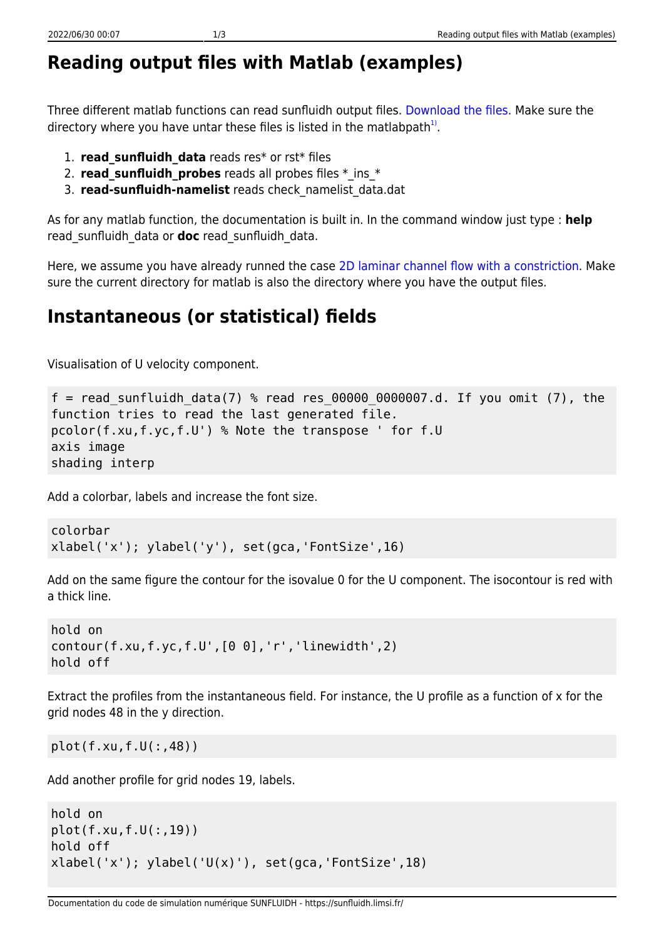## **Reading output files with Matlab (examples)**

Three different matlab functions can read sunfluidh output files. [Download the files.](https://sunfluidh.limsi.fr/_media/sunfluidh:matlabforsunfluidh.tar) Make sure the directory where you have untar these files is listed in the matlabpath $^{1)}$  $^{1)}$  $^{1)}$ .

- 1. **read\_sunfluidh\_data** reads res\* or rst\* files
- 2. **read sunfluidh probes** reads all probes files \* ins \*
- 3. **read-sunfluidh-namelist** reads check\_namelist\_data.dat

As for any matlab function, the documentation is built in. In the command window just type : **help** read\_sunfluidh\_data or **doc** read\_sunfluidh\_data.

Here, we assume you have already runned the case [2D laminar channel flow with a constriction](https://sunfluidh.limsi.fr/sunfluidh:2d_channel_flow_with_bar_incomp_flow). Make sure the current directory for matlab is also the directory where you have the output files.

## **Instantaneous (or statistical) fields**

Visualisation of U velocity component.

```
f = read sunfluidh data(7) % read res 00000 0000007.d. If you omit (7), the
function tries to read the last generated file.
pcolor(f.xu,f.yc,f.U') % Note the transpose ' for f.U
axis image
shading interp
```
Add a colorbar, labels and increase the font size.

```
colorbar
xlabel('x'); ylabel('y'), set(gca,'FontSize',16)
```
Add on the same figure the contour for the isovalue 0 for the U component. The isocontour is red with a thick line.

```
hold on
contour(f.xu,f.yc,f.U',[0 0],'r','linewidth',2)
hold off
```
Extract the profiles from the instantaneous field. For instance, the U profile as a function of x for the grid nodes 48 in the y direction.

plot(f.xu,f.U(:,48))

Add another profile for grid nodes 19, labels.

```
hold on
plot(f.xu,f.U(:,19))
hold off
xlabel('x'); ylabel('U(x)');\ set(gca,'FontSize',18)
```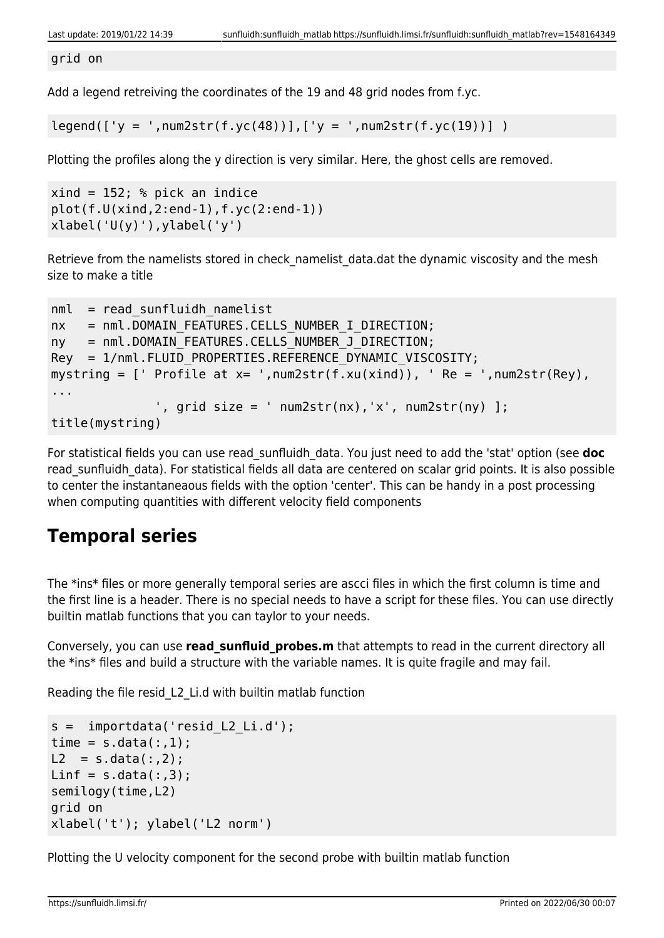grid on

Add a legend retreiving the coordinates of the 19 and 48 grid nodes from f.yc.

 $legend([y = ',num2str(f.yc(48))], ['y = ',num2str(f.yc(19))])$ 

Plotting the profiles along the y direction is very similar. Here, the ghost cells are removed.

```
xind = 152; % pick an indice
plot(f.U(xind,2:end-1),f.yc(2:end-1))
xlabel('U(y)'), ylabel('y')
```
Retrieve from the namelists stored in check namelist data.dat the dynamic viscosity and the mesh size to make a title

```
nml = read sunfluidh namelistnx = nml.DOMAIN FEATURES.CELLS NUMBER I DIRECTION;
ny = nml.DOMAIN FEATURES.CELLS NUMBER J DIRECTION;
Rey = 1/nml.FLUID PROPERTIES.REFERENCE DYNAMIC VISCOSITY;
mystring = [ Profile at x= ', num2str(f.xu(xind)), \prime Re = \prime, num2str(Rey),
...
              ', grid size = ' num2str(nx), 'x', num2str(ny) ];
title(mystring)
```
For statistical fields you can use read\_sunfluidh\_data. You just need to add the 'stat' option (see **doc** read sunfluidh data). For statistical fields all data are centered on scalar grid points. It is also possible to center the instantaneaous fields with the option 'center'. This can be handy in a post processing when computing quantities with different velocity field components

## **Temporal series**

The \*ins\* files or more generally temporal series are ascci files in which the first column is time and the first line is a header. There is no special needs to have a script for these files. You can use directly builtin matlab functions that you can taylor to your needs.

Conversely, you can use **read sunfluid probes.m** that attempts to read in the current directory all the \*ins\* files and build a structure with the variable names. It is quite fragile and may fail.

Reading the file resid\_L2\_Li.d with builtin matlab function

```
s = importdata('resid L2 Li.d');
time = s.data(:,1);L2 = s.data(:, 2);Linf = s.data(:,3);semilogy(time,L2)
grid on
xlabel('t'); ylabel('L2 norm')
```
Plotting the U velocity component for the second probe with builtin matlab function